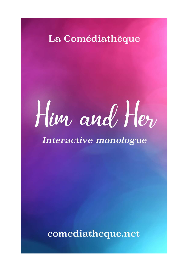### La Comédiathèque

# $How and He<sub>v</sub>$

Interactive monologue

comediatheque.net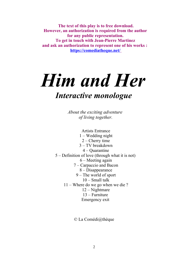**The text of this play is to free download. However, an authorization is required from the author for any public representation. To get in touch with Jean-Pierre Martinez and ask an authorization to represent one of his works : <https://comediatheque.net/>**

## *Him and Her Interactive monologue*

*About the exciting adventure of living together.*

Artists Entrance 1 – Wedding night 2 – Cherry time 3 – TV breakdown 4 – Quarantine 5 – Definition of love (through what it is not) 6 – Meeting again 7 – Carpaccio and Bacon 8 – Disappearance 9 – The world of sport 10 – Small talk 11 – Where do we go when we die ? 12 – Nightmare 13 – Furniture Emergency exit

© La Comédi@thèque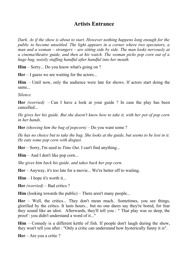#### **Artists Entrance**

*Dark. As if the show is about to start. However nothing happens long enough for the public to become unsettled. The light appears in a corner where two spectators, a man and a woman* – *strangers* – *are sitting side by side. The man looks nervously at a cinema/theatre guide, and then at his watch. The woman picks pop corn out of a huge bag, noisily stuffing handful after handful into her mouth.* 

**Him** – Sorry... Do you know what's going on ?

**Her** – I guess we are waiting for the actors...

**Him** – Until now, only the audience were late for shows. If actors start doing the same

*Silence.* 

**Her** *(worried)* – Can I have a look at your guide ? In case the play has been cancelled...

*He gives her his guide. But she doesn't know how to take it, with her pot of pop corn in her hands.*

**Her** *(showing him the bag of popcorn)* – Do you want some ?

*He has no choice but to take the bag. She looks at the guide, but seems to be lost in it. He eats some pop corn with disgust.* 

**Her** – Sorry, I'm used to *Time Out*. I can't find anything...

**Him** – And I don't like pop corn...

*She gives him back his guide, and takes back her pop corn.* 

**Her** – Anyway, it's too late for a movie... We're better off to waiting.

**Him** – I hope it's worth it...

**Her** *(worried)* – Bad critics ?

**Him** (looking towards the public) – There aren't many people...

**Her** – Well, the critics... They don't mean much.. Sometimes, you see things, glorified by the critics. It lasts hours... but no one dares say they're bored, for fear they sound like an idiot. Afterwards, they'll tell you : " That play was so deep, the proof : you didn't understand a word of it..."

**Him** – Comedy is a different kettle of fish. If people don't laugh during the show, they won't tell you after : "Only a critic can understand how hysterically funny it is".

**Her** – Are you a critic ?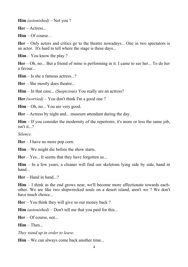**Him** *(astonished)* – Not you ?

**Her** – Actress...

**Him** – Of course…

**Her** – Only actors and critics go to the theatre nowadays... One in two spectators is an actor. It's hard to tell where the stage is these days...

**Him** – You know the play ?

**Her** – Oh, no... But a friend of mine is performing in it. I came to see her... To do her a favour...

**Him** – Is she a famous actress...?

**Her** – She mostly does theatre...

**Him** – In that case... *(Suspicious)* You really are an actress?

**Her** *(worried)* – You don't think I'm a good one ?

**Him** – Oh, no... You are very good.

**Her** – Actress by night and... museum attendant during the day.

**Him** – If you consider the modernity of the repertoire, it's more or less the same job,  $i$ sn't it...?

*Silence.*

**Her** – I have no more pop corn.

**Him** – We might die before the show starts.

**Her** – Yes... It seems that they have forgotten us...

**Him** – In a few years, a cleaner will find our skeletons lying side by side, hand in hand...

 $\text{Her} - \text{Hand in hand}$  ?

**Him** – I think as the end grows near, we'll become more affectionate towards eachother. We are like two shipwrecked souls on a desert island, aren't we ? We don't have much choice...

**Her** – You think they will give us our money back ?

**Him** *(astonished)* – Don't tell me that you paid for this...

**Her** – Of course, not...

**Him** – Then...

*They stand up in order to leave.*

**Him** – We can always come back another time...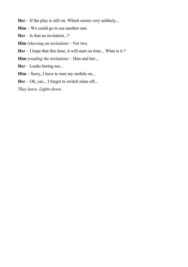**Her** – If the play is still on. Which seems very unlikely...

**Him** – We could go to see another one.

**Her** – Is that an invitation...?

**Him** *(showing an invitation)* – For two.

**Her** – I hope that this time, it will start on time... What is it ?

**Him** *(reading the invitation)* – Him and her...

**Her** – Looks boring too...

**Him** – Sorry, I have to turn my mobile on...

Her – Oh, yes... I forgot to switch mine off...

*They leave. Lights down.*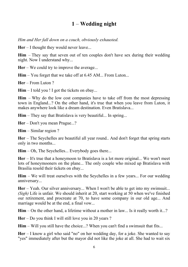#### **1** – **Wedding night**

*Him and Her fall down on a couch, obviously exhausted.*

**Her** – I thought they would never leave...

**Him** – They say that seven out of ten couples don't have sex during their wedding night. Now I understand why...

**Her** – We could try to improve the average...

**Him** – You forget that we take off at 6.45 AM... From Luton...

**Her** – From Luton ?

**Him** – I told you ! I got the tickets on ebay...

**Him** – Why do the low cost companies have to take off from the most depressing town in England...? On the other hand, it's true that when you leave from Luton, it makes anywhere look like a dream destination. Even Bratislava...

**Him** – They say that Bratislava is very beautiful... In spring...

**Her** – Don't you mean Prague...?

**Him** – Similar region ?

**Her** – The Seychelles are beautiful all year round.. And don't forget that spring starts only in two months...

**Him** – Oh, The Seychelles... Everybody goes there...

**Her** – It's true that a honeymoon to Bratislava is a lot more original... We won't meet lots of honeymooners on the plane... The only couple who mixed up Bratislava with Brasilia resold their tickets on ebay...

**Him** – We will treat ourselves with the Seychelles in a few years... For our wedding anniversary...

**Her** – Yeah. Our silver anniversary... When I won't be able to get into my swimsuit... *(Sigh)* Life is unfair. We should inherit at 20, start working at 50 when we've finished our retirement, and procreate at 70, to have some company in our old age... And marriage would be at the end, a final vow...

**Him** – On the other hand, a lifetime without a mother in law... Is it really worth it...?

**Her** – Do you think I will still love you in 20 years ?

**Him** – Will you still have the choice...? When you can't find a swimsuit that fits...

**Her** – I know a girl who said "no" on her wedding day, for a joke. She wanted to say "yes" immediately after but the mayor did not like the joke at all. She had to wait six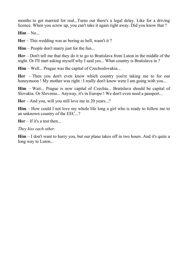months to get married for real...Turns out there's a legal delay. Like for a driving licence. When you screw up, you can't take it again right away. Did you know that ?

**Him** – No...

**Her** – This wedding was as boring as hell, wasn't it ?

**Him** – People don't marry just for the fun...

**Her** – Don't tell me that they do it to go to Bratislava from Luton in the middle of the night. Or I'll start asking myself why I said yes... What country is Bratislava in ?

**Him** – Well... Prague was the capital of Czechoslovakia...

**Her** – Then you don't even know which country you're taking me to for our honeymoon ! My mother was right : I really don't know were I am going with you...

**Him** – Wait... Prague is now capital of Czechia... Bratislava should be capital of Slovakia. Or Slovenia... Anyway, it's in Europe ! We don't even need a passport...

**Her** – And you, will you still love me in 20 years...?

**Him** – How could I not love my whole life long a girl who is ready to follow me to an unknown country of the EEC...?

**Her** – If it's a test then...

*They kiss each other.*

**Him** – I don't want to hurry you, but our plane takes off in two hours. And it's quite a long way to Luton...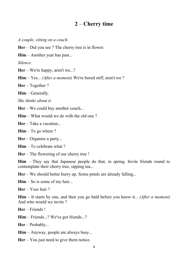#### **2** – **Cherry time**

*A couple, sitting on a couch.*

**Her** – Did you see ? The cherry tree is in flower.

**Him** – Another year has past...

*Silence.*

**Her** – We're happy, aren't we...?

**Him** – Yes... *(After a moment)* We're bored stiff, aren't we ?

**Her** – Together ?

**Him** – Generally.

*She thinks about it.*

**Her** – We could buy another couch...

**Him** – What would we do with the old one ?

**Her** – Take a vacation...

**Him** – To go where ?

**Her** – Organise a party...

**Him** – To celebrate what ?

**Her** – The flowering of our cherry tree !

**Him** – They say that Japanese people do that, in spring. Invite friends round to contemplate their cherry tree, sipping tea...

**Her** – We should better hurry up. Some petals are already falling...

**Him** – So is some of my hair...

**Her** – Your hair ?

**Him** – It starts by one, and then you go bald before you know it... *(After a moment)* And who would we invite ?

**Her** – Friends !

**Him** – Friends...? We've got friends...?

**Her** – Probably...

**Him** – Anyway, people are always busy...

**Her** – You just need to give them notice.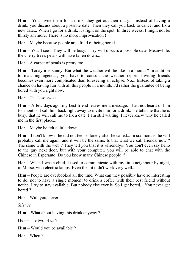**Him** – You invite them for a drink, they get out their diary... Instead of having a drink, you discuss about a possible date. Then they call you back to cancel and fix a new date... When I go for a drink, it's right on the spot. In three weeks, I might not be thirsty anymore. There is no more improvisation !

**Her** – Maybe because people are afraid of being bored...

**Him** – You'll see ! They will be busy. They will discuss a possible date. Meanwhile, the cherry tree's petals will have fallen down...

**Her** – A carpet of petals is pretty too...

**Him** – Today it is sunny. But what the weather will be like in a month ? In addition to matching agendas, you have to consult the weather report. Inviting friends becomes even more complicated than foreseeing an eclipse. No... Instead of taking a chance on having fun with all this people in a month, I'd rather the guarantee of being bored with you right now.

**Her** – That's so sweet…

**Him** – A few days ago, my best friend leaves me a message. I had not heard of him for months. I call him back right away to invite him for a drink. He tells me that he is busy, that he will call me to fix a date. I am still waiting. I never knew why he called me in the first place...

**Her** – Maybe he felt a little down...

**Him** – I don't know if he did not feel so lonely after he called... In six months, he will probably call me again, and it will be the same. Is that what we call friends, now ? The same with the web ? They tell you that it is «friendly». You don't even say hello to the guy next door, but with your computer, you will be able to chat with the Chinese in Esperanto. Do you know many Chinese people ?

**Her** – When I was a child, I used to communicate with my little neighbour by night, in Morse, with electric lamps. Even then it didn't work very well...

**Him** – People are overbooked all the time. What can they possibly have so interesting to do, not to have a single moment to drink a coffee with their best friend without notice. I try to stay available. But nobody else ever is. So I get bored... You never get bored ?

**Her** – With you, never...

*Silence.*

**Him** – What about having this drink anyway ?

**Her** – The two of us ?

**Him** – Would you be available ?

**Her** – When ?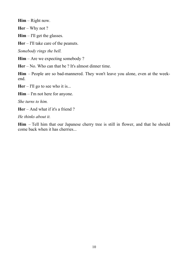**Him** – Right now.

**Her** – Why not ?

**Him** – I'll get the glasses.

**Her** – I'll take care of the peanuts.

*Somebody rings the bell.*

**Him** – Are we expecting somebody?

**Her** – No. Who can that be ? It's almost dinner time.

**Him** – People are so bad-mannered. They won't leave you alone, even at the weekend.

**Her** – I'll go to see who it is...

**Him** – I'm not here for anyone.

*She turns to him.*

**Her** – And what if it's a friend ?

*He thinks about it.*

**Him** – Tell him that our Japanese cherry tree is still in flower, and that he should come back when it has cherries...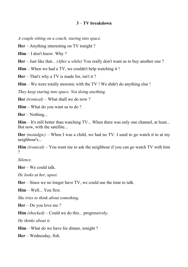#### **3** – **TV breakdown**

*A couple sitting on a couch, staring into space.*

**Her** – Anything interesting on TV tonight ?

**Him** – I don't know. Why ?

**Her** – Just like that... *(After a while)* You really don't want us to buy another one ?

**Him** – When we had a TV, we couldn't help watching it !

**Her** – That's why a TV is made for, isn't it ?

**Him** – We were totally moronic with the TV ! We didn't do anything else !

*They keep staring into space. Not doing anything.*

**Her** *(ironical)* – What shall we do now ?

**Him** – What do you want us to do ?

**Her** – Nothing...

**Him** – It's still better than watching TV... When there was only one channel, at least... But now, with the satellite...

**Her** *(nostalgic)* – When I was a child, we had no TV. I used to go watch it to at my neighbour's...

**Him** *(ironical)* – You want me to ask the neighbour if you can go watch TV with him ?

*Silence.* 

**Her** – We could talk.

*He looks at her, upset.*

**Her** – Since we no longer have TV, we could use the time to talk.

**Him** – Well... You first.

*She tries to think about something.*

**Her** – Do you love me ?

**Him** *(shocked)* – Could we do this... progressively.

*He thinks about it.*

**Him** – What do we have for dinner, tonight ?

**Her** – Wednesday, fish.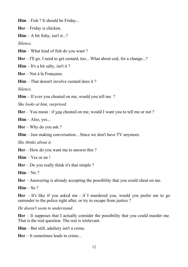**Him** – Fish ? It should be Friday...

**Her** – Friday is chicken.

 $\textbf{Him} - \textbf{A}$  bit fishy, isn't it...?

*Silence.*

**Him** – What kind of fish do you want ?

**Her** – I'll go. I need to get custard, too... What about cod, for a change...?

**Him** – It's a bit salty, isn't it ?

**Her** – Not à la Française.

**Him** – That doesn't involve custard does it ?

*Silence.*

**Him** – If ever you cheated on me, would you tell me?

*She looks at him, surprised.*

**Her** – You mean : if you cheated on me, would I want you to tell me or not ?

 $\text{Him} - \text{Also}, \text{ves}...$ 

**Her** – Why do you ask ?

**Him** – Just making conversation... Since we don't have TV anymore.

*She thinks about it.*

**Her** – How do you want me to answer this ?

**Him** – Yes or no !

**Her** – Do you really think it's that simple ?

 $\lim - N_0$ ?

**Her** – Answering is already accepting the possibility that you could cheat on me.

 $\text{Him} - \text{So}$  ?

**Her** – It's like if you asked me : if I murdered you, would you prefer me to go surrender to the police right after, or try to escape from justice ?

*He doesn't seem to understand.*

**Her** – It supposes that I actually consider the possibility that you could murder me. That is the real question. The rest is irrelevant.

**Him** – But still, adultery isn't a crime.

**Her** – It sometimes leads to crime...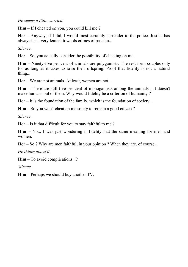*He seems a little worried.*

**Him** – If I cheated on you, you could kill me ?

**Her** – Anyway, if I did, I would most certainly surrender to the police. Justice has always been very lenient towards crimes of passion...

*Silence.*

**Her** – So, you actually consider the possibility of cheating on me.

**Him** – Ninety-five per cent of animals are polygamists. The rest form couples only for as long as it takes to raise their offspring. Proof that fidelity is not a natural thing...

**Her** – We are not animals. At least, women are not...

**Him** – There are still five per cent of monogamists among the animals ! It doesn't make humans out of them. Why would fidelity be a criterion of humanity ?

**Her** – It is the foundation of the family, which is the foundation of society...

**Him** – So you won't cheat on me solely to remain a good citizen ?

*Silence.*

**Her** – Is it that difficult for you to stay faithful to me ?

**Him** – No... I was just wondering if fidelity had the same meaning for men and women.

**Her** – So ? Why are men faithful, in your opinion ? When they are, of course...

*He thinks about it.*

**Him** – To avoid complications...?

*Silence.*

**Him** – Perhaps we should buy another TV.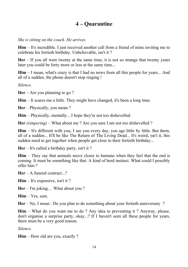#### **4 – Quarantine**

*She is sitting on the couch. He arrives.*

**Him** – It's incredible. I just received another call from a friend of mine inviting me to celebrate his fortieth birthday. Unbelievable, isn't it ?

**Her** – If you all were twenty at the same time, it is not so strange that twenty years later you could be forty more or less at the same time...

**Him** – I mean, what's crazy is that I had no news from all this people for years... And all of a sudden, the phone doesn't stop ringing !

*Silence.*

**Her** – Are you planning to go ?

**Him** – It scares me a little. They might have changed, it's been a long time.

**Her** – Physically, you mean ?

**Him** – Physically, mentally... I hope they're not too dishevelled.

**Her** *(simpering)* – What about me ? Are you sure I am not too dishevelled ?

**Him** – It's different with you, I see you every day, you age little by little. But them, all of a sudden... It'll be like The Return of The Living Dead... It's weird, isn't it, this sudden need to get together when people get close to their fortieth birthday...

**Her** – It's called a birthday party, isn't it ?

**Him** – They say that animals move closer to humans when they feel that the end is coming. It must be something like that. A kind of herd instinct. What could I possibly offer him ?

**Her** – A funeral contract...?

**Him** – It's expensive, isn't it ?

**Her** – I'm joking… What about you ?

**Him** – Yes, sure.

**Her** – No, I mean : Do you plan to do something about your fortieth anniversary ?

**Him** – What do you want me to do ? Any idea to preventing it ? Anyway, please, don't organise a surprise party, okay...? If I haven't seen all these people for years, there must be a very good reason.

*Silence.*

**Him** – How old are you, exactly ?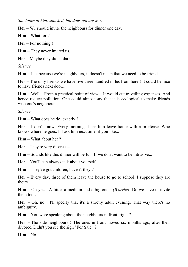*She looks at him, shocked, but does not answer.* 

**Her** – We should invite the neighbours for dinner one day.

**Him** – What for ?

**Her** – For nothing !

**Him** – They never invited us.

**Her** – Maybe they didn't dare...

*Silence.*

**Him** – Just because we're neighbours, it doesn't mean that we need to be friends...

**Her** – The only friends we have live three hundred miles from here ! It could be nice to have friends next door...

**Him** – Well... From a practical point of view... It would cut travelling expenses. And hence reduce pollution. One could almost say that it is ecological to make friends with one's neighbours.

*Silence.*

**Him** – What does he do, exactly ?

**Her** – I don't know. Every morning, I see him leave home with a briefcase. Who knows where he goes. I'll ask him next time, if you like...

**Him** – What about her ?

**Her** – They're very discreet...

**Him** – Sounds like this dinner will be fun. If we don't want to be intrusive...

**Her** – You'll can always talk about yourself.

**Him** – They've got children, haven't they ?

**Her** – Every day, three of them leave the house to go to school. I suppose they are theirs.

**Him** – Oh yes... A little, a medium and a big one... *(Worried)* Do we have to invite them too ?

**Her** – Oh, no ! I'll specify that it's a strictly adult evening. That way there's no ambiguity.

**Him** – You were speaking about the neighbours in front, right ?

**Her** – The side neighbours ! The ones in front moved six months ago, after their divorce. Didn't you see the sign "For Sale" ?

 $\mathbf{Him} - \mathbf{No}$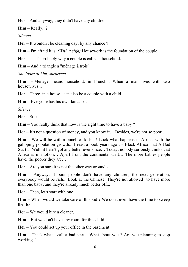**Her** – And anyway, they didn't have any children.

**Him** – Really...?

*Silence.* 

**Her** – It wouldn't be cleaning day, by any chance ?

**Him** – I'm afraid it is. *(With a sigh)* Housework is the foundation of the couple...

**Her** – That's probably why a couple is called a household.

**Him** – And a triangle a "ménage à trois".

*She looks at him, surprised.*

**Him** – Ménage means household, in French... When a man lives with two housewives

**Her** – Three, in a house, can also be a couple with a child...

**Him** – Everyone has his own fantasies.

*Silence.*

**Her** – So ?

**Him** – You really think that now is the right time to have a baby ?

**Her** – It's not a question of money, and you know it… Besides, we're not so poor…

**Him** – We will be with a bunch of kids…! Look what happens in Africa, with the galloping population growth... I read a book years ago : « Black Africa Had A Bad Start ». Well, it hasn't got any better ever since… Today, nobody seriously thinks that Africa is in motion… Apart from the continental drift… The more babies people have, the poorer they are...

**Her** – Are you sure it is not the other way around ?

**Him** – Anyway, if poor people don't have any children, the next generation, everybody would be rich... Look at the Chinese. They're not allowed to have more than one baby, and they're already much better off...

**Her** – Then, let's start with one…

**Him** – When would we take care of this kid ? We don't even have the time to sweep the floor !

**Her** – We would hire a cleaner.

**Him** – But we don't have any room for this child !

**Her** – You could set up your office in the basement...

**Him** – That's what I call a bad start... What about you ? Are you planning to stop working ?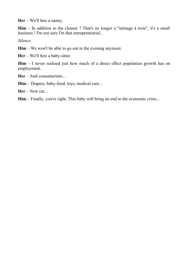**Her** – We'll hire a nanny.

**Him** – In addition to the cleaner ? That's no longer a "ménage à trois", it's a small business ! I'm not sure I'm that entrepreneurial...

*Silence.*

**Him** – We won't be able to go out in the evening anymore.

**Her** – We'll hire a baby-sitter.

**Him** – I never realised just how much of a direct effect population growth has on employment.

**Her** – And consumerism...

**Him** – Diapers, baby-food, toys, medical care...

**Her** – New car...

**Him** – Finally, you're right. This baby will bring an end to the economic crisis...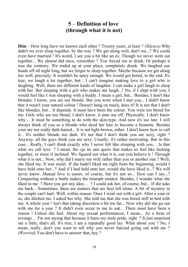#### **5** – **Definition of love (through what it is not)**

**Him** – How long have we known each other ? Twenty years, at least ? *(Silence)* Why didn't we ever sleep together, by the way ? We get along well, don't we...? We could even have married ! It's weird, I see you a bit like an ex. Though we never went out together... We almost did once, remember ? You forced me to drink. Or perhaps it was the contrary. We ended up at your place, completely drunk. We laughed our heads off all night long, but we forgot to sleep together. Maybe because we get along too well, precisely. It wouldn't be spicy enough. We would get bored, in the end. It's true, we laugh a lot together, but... I can't imagine making love to a girl who is laughing. Well, there are different kinds of laughter. I can make a girl laugh to sleep with her. But sleeping with a girl who makes me laugh...! No, if I slept with you, I would feel like I was sleeping with a buddy. I mean a girl, but... Besides, I don't like blondes. I know, you are not blonde. But you were when I met you... I didn't know that it wasn't your natural colour ! Doesn't hang on much, does it? It is not that I don't like blondes, but... It depends. It must have been the colour. You were too blond for me. Girls who are too blond, I don't know, it puts me off. Physically. I don't know why… It must be something to do with the skin-type. And now it's too late. I will always think of you as a blonde who dyed her hair to become a brunette. Besides your are not really dark-haired... It is not light-brown, either. I don't know how to call it... It's neither blonde nor dark. It's not that I don't think you are sexy, right ? Anyway, all the guys think you are sexy. Usually, it's rather motivating. But in this case... Really, I can't think exactly why I never felt like sleeping with you… Is that what we call love ? I mean, the «je ne sais quoi» that makes us feel like fucking together, or more if inclined. We figured out what it is, can you believe it ! Through what it is not... Now, why did I marry my wife rather than you or another one ? Well, she liked me. It was easier. If she hadn't liked me right from the beginning, would I have held onto her...? And if I had held onto her, would she have liked it...? We will never know. Mutual love is easier, of course, but it's not so... How can I say...? Conquering without a battle makes the triumph modest. Besides, I wonder what she liked in me ? Have you got any idea… ? I could ask her, of course, but... If she asks me back... Sometimes, there are matters that are best left alone. A bit of mystery in the couple can't hurt. Well, within reason. Once I went out with a girl. After a year or so, she ditched me. I asked her why. She told me that she was bored stiff in bed with me. A whole year ! Isn't that taking discretion a bit too far... Now why did she go out with me for a year? It didn't even occur to me to ask... There must have been a reason ! Unless she lied. About my sexual performances, I mean... As a form of revenge… I'm not saying that because it hurts my male pride, right ? It just surprised me a little, that's all. It's true, I am a reputedly good lay. What about you ? No, I mean, really, don't you want to tell why you never fancied going out with me ? *(Worried)* You don't have to answer that, hey ?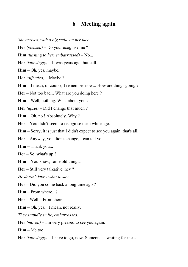#### **6** – **Meeting again**

- *She arrives, with a big smile on her face.*
- **Her** *(pleased)* Do you recognise me ?
- **Him** *(turning to her, embarrassed)* No...
- **Her** *(knowingly)* It was years ago, but still...
- **Him** Oh, yes, maybe...
- **Her** *(offended)* Maybe ?
- Him I mean, of course, I remember now... How are things going ?
- **Her** Not too bad... What are you doing here ?
- **Him** Well, nothing. What about you ?
- **Her** *(upset)* Did I change that much ?
- **Him** Oh, no ! Absolutely. Why ?
- **Her** You didn't seem to recognise me a while ago.
- **Him** Sorry, it is just that I didn't expect to see you again, that's all.
- **Her** Anyway, you didn't change, I can tell you.
- **Him** Thank you...
- **Her** So, what's up ?
- **Him** You know, same old things...
- **Her** Still very talkative, hey ?
- *He doesn't know what to say.*
- **Her** Did you come back a long time ago ?
- **Him** From where...?
- **Her** Well... From there !
- **Him** Oh, yes... I mean, not really.
- *They stupidly smile, embarrassed.*
- **Her** *(moved)* I'm very pleased to see you again.
- **Him** Me too...
- **Her** *(knowingly)* I have to go, now. Someone is waiting for me...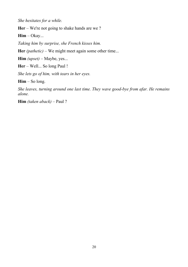*She hesitates for a while.*

**Her** – We're not going to shake hands are we ?

**Him** – Okay...

*Taking him by surprise, she French kisses him.*

**Her** *(pathetic)* – We might meet again some other time...

**Him** *(upset)* – Maybe, yes...

**Her** – Well... So long Paul !

*She lets go of him, with tears in her eyes.*

**Him** – So long.

*She leaves, turning around one last time. They wave good-bye from afar. He remains alone.*

**Him** *(taken aback)* – Paul ?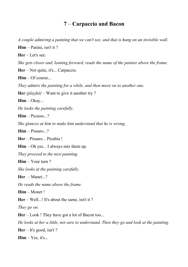#### **7** – **Carpaccio and Bacon**

*A couple admiring a painting that we can't see, and that is hung on an invisible wall.* **Him** – Panini, isn't it ?

**Her** – Let's see.

*She gets closer and, leaning forward, reads the name of the painter above the frame.*

**Her** – Not quite, it's... Carpaccio.

**Him** – Of course...

*They admire the painting for a while, and then move on to another one.*

**Her** *(playful)* – Want to give it another try ?

**Him** – Okay...

*He looks the painting carefully.*

**Him** – Picasso...?

*She glances at him to make him understand that he is wrong.*

**Him** – Pissaro...?

**Her** – Pissaro... Picabia !

**Him** – Oh yes... I always mix them up.

*They proceed to the next painting.*

**Him** – Your turn ?

*She looks at the painting carefully.*

**Her** – Manet...?

*He reads the name above the frame.*

**Him** – Monet !

**Her** – Well...! It's about the same, isn't it ?

*They go on.*

**Her** – Look ! They have got a lot of Bacon too...

*He looks at her a little, not sure to understand. Then they go and look at the painting.*

**Her** – It's good, isn't ?

**Him** – Yes, it's...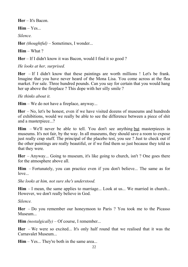**Her** – It's Bacon.

 $\mathbf{Him} - \mathbf{Yes}$ ....

*Silence.*

**Her** *(thoughtful)* – Sometimes, I wonder...

**Him** – What ?

**Her** – If I didn't know it was Bacon, would I find it so good ?

*He looks at her, surprised.*

**Her** – If I didn't know that these paintings are worth millions ! Let's be frank. Imagine that you have never heard of the Mona Lisa. You come across at the flea market. For sale. Three hundred pounds. Can you say for certain that you would hang her up above the fireplace ? This dope with her silly smile ?

*He thinks about it.*

**Him** – We do not have a fireplace, anyway...

**Her** – No, let's be honest, even if we have visited dozens of museums and hundreds of exhibitions, would we really be able to see the difference between a piece of shit and a masterpiece...?

**Him** – We'll never be able to tell. You don't see anything but masterpieces in museums. It's not fair, by the way. In all museums, they should save a room to expose just really crap stuff. The principal of the placebo test, you see ? Just to check out if the other paintings are really beautiful, or if we find them so just because they told us that they were.

**Her** – Anyway... Going to museum, it's like going to church, isn't ? One goes there for the atmosphere above all.

**Him** – Fortunately, you can practice even if you don't believe... The same as for love.

*She looks at him, not sure she's understood.*

**Him** – I mean, the same applies to marriage... Look at us... We married in church... However, we don't really believe in God.

*Silence.*

**Her** – Do you remember our honeymoon to Paris ? You took me to the Picasso Museum...

**Him** *(nostalgically)* – Of course, I remember...

**Her** – We were so excited... It's only half round that we realised that it was the Carnavalet Museum...

**Him** – Yes... They're both in the same area...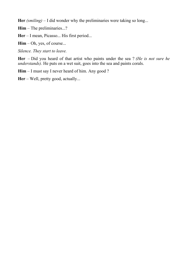**Her** *(smiling)* – I did wonder why the preliminaries were taking so long...

**Him** – The preliminaries...?

**Her** – I mean, Picasso... His first period...

**Him** – Oh, yes, of course...

*Silence. They start to leave.*

**Her** – Did you heard of that artist who paints under the sea ? *(He is not sure he understands*). He puts on a wet suit, goes into the sea and paints corals.

Him – I must say I never heard of him. Any good ?

**Her** – Well, pretty good, actually...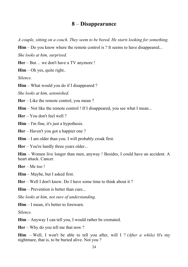#### **8** – **Disappearance**

*A couple, sitting on a couch. They seem to be bored. He starts looking for something.*

**Him** – Do you know where the remote control is ? It seems to have disappeared...

*She looks at him, surprised.*

**Her** – But… we don't have a TV anymore !

**Him** – Oh yes, quite right..

*Silence.*

**Him** – What would you do if I disappeared ?

*She looks at him, astonished.*

**Her** – Like the remote control, you mean ?

**Him** – Not like the remote control ! If I disappeared, you see what I mean...

**Her** – You don't feel well ?

**Him** – I'm fine, it's just a hypothesis.

**Her** – Haven't you got a happier one ?

**Him** – I am older than you. I will probably croak first.

**Her** – You're hardly three years older...

**Him** – Women live longer than men, anyway ! Besides, I could have an accident. A heart attack. Cancer.

**Her** – Me too !

**Him** – Maybe, but I asked first.

**Her** – Well I don't know. Do I have some time to think about it ?

**Him** – Prevention is better than cure...

*She looks at him, not sure of understanding.*

**Him** – I mean, it's better to forewarn.

*Silence.*

**Him** – Anyway I can tell you, I would rather be cremated.

**Her** – Why do you tell me that now ?

**Him** – Well, I won't be able to tell you after, will I ? *(After a while)* It's my nightmare, that is, to be buried alive. Not you ?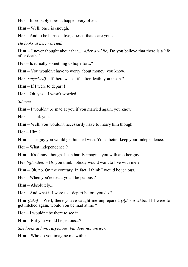**Her** – It probably doesn't happen very often.

**Him** – Well, once is enough.

**Her** – And to be burned alive, doesn't that scare you ?

*He looks at her, worried.*

**Him** – I never thought about that... *(After a while)* Do you believe that there is a life after death ?

**Her** – Is it really something to hope for...?

**Him** – You wouldn't have to worry about money, you know...

**Her** *(surprised)* – If there was a life after death, you mean ?

**Him** – If I were to depart !

**Her** – Oh, yes... I wasn't worried.

*Silence.*

**Him** – I wouldn't be mad at you if you married again, you know.

**Her** – Thank you.

**Him** – Well, you wouldn't necessarily have to marry him though..

**Her** – Him ?

**Him** – The guy you would get hitched with. You'd better keep your independence.

**Her** – What independence ?

**Him** – It's funny, though. I can hardly imagine you with another guy...

**Her** *(offended)* – Do you think nobody would want to live with me ?

**Him** – Oh, no. On the contrary. In fact, I think I would be jealous.

**Her** – When you're dead, you'll be jealous ?

**Him** – Absolutely...

**Her** – And what if I were to... depart before you do ?

**Him** *(fake)* – Well, there you've caught me unprepared. *(After a while)* If I were to get hitched again, would you be mad at me ?

**Her** – I wouldn't be there to see it.

**Him** – But you would be jealous...?

*She looks at him, suspicious, but does not answer.*

**Him** – Who do you imagine me with ?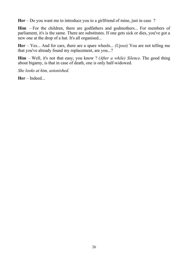**Her** – Do you want me to introduce you to a girlfriend of mine, just in case ?

**Him** – For the children, there are godfathers and godmothers... For members of parliament, it's is the same. There are substitutes. If one gets sick or dies, you've got a new one at the drop of a hat. It's all organised...

**Her** – Yes... And for cars, there are a spare wheels... *(Upset)* You are not telling me that you've already found my replacement, are you...?

**Him** – Well, it's not that easy, you know ? *(After a while) Silence.* The good thing about bigamy, is that in case of death, one is only half-widowed.

*She looks at him, astonished.*

**Her** – Indeed...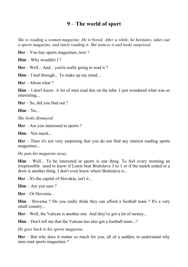#### **9** – **The world of sport**

*She is reading a women magazine. He is bored. After a while, he hesitates, takes out a sports magazine, and starts reading it. She notices it and looks surprised.*

**Her** – You buy sports magazines, now ?

**Him** – Why wouldn't I ?

**Her** – Well... And... you're really going to read it ?

**Him** – I leaf through... To make up my mind...

**Her** – About what ?

**Him** – I don't know. A lot of men read this on the tube. I just wondered what was so interesting...

**Her** – So, did you find out ?

 $\text{Him} - \text{No}$ ...

*She looks dismayed.*

**Her** – Are you interested in sports ?

**Him** – Not much...

**Her** – Then it's not very surprising that you do not find any interest reading sports magazines...

*He puts his magazine away.*

**Him** – Well... To be interested in sports is one thing. To feel every morning an irrepressible need to know if Luton beat Bratislava 3 to 1 or if the match ended in a draw is another thing. I don't even know where Bratislava is...

**Her** – It's the capital of Slovakia, isn't it...

**Him** – Are you sure ?

**Her** – Or Slovenia...

**Him** – Slovenia ? Do you really think they can afford a football team ? It's a very small country...

**Her** – Well, the Vatican is another one. And they've got a lot of money...

**Him** – Don't tell me that the Vatican has also got a football team...?

*He goes back to his sports magazine.*

**Her** – But why does it matter so much for you, all of a sudden, to understand why men read sports magazines ?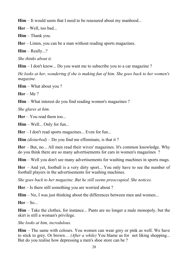**Him** – It would seem that I need to be reassured about my manhood...

**Her** – Well, too bad...

**Him** – Thank you.

**Her** – Listen, you can be a man without reading sports magazines.

**Him** – Really...?

*She thinks about it.*

**Him** – I don't know... Do you want me to subscribe you to a car magazine?

*He looks at her, wondering if she is making fun of him. She goes back to her women's magazine.*

**Him** – What about you ?

**Her** – Me ?

**Him** – What interest do you find reading women's magazines ?

*She glares at him.*

**Her** – You read them too...

**Him** – Well... Only for fun...

**Her** – I don't read sports magazines... Even for fun...

**Him** *(disturbed)* – Do you find me effeminate, is that it ?

**Her** – But, no... All men read their wives' magazines. It's common knowledge. Why do you think there are so many advertisements for cars in women's magazines ?

**Him** – Well you don't see many advertisements for washing machines in sports mags.

**Her** – And yet, football is a very dirty sport... You only have to see the number of football players in the advertisements for washing machines.

*She goes back to her magazine. But he still seems preoccupied. She notices.*

**Her** – Is there still something you are worried about ?

**Him** – No, I was just thinking about the differences between men and women...

**Her** – So...

**Him** – Take the clothes, for instance... Pants are no longer a male monopoly, but the skirt is still a woman's privilege.

*She looks at him, incredulous.*

**Him** – The same with colours. You women can wear grey or pink as well. We have to stick to grey. Or brown… *(After a while)* You blame us for not liking shopping... But do you realise how depressing a men's shoe store can be ?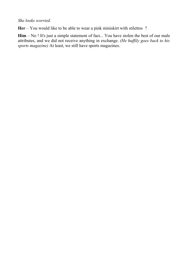#### *She looks worried.*

**Her** – You would like to be able to wear a pink miniskirt with stilettos ?

**Him** – No ! It's just a simple statement of fact... You have stolen the best of our male attributes, and we did not receive anything in exchange. *(He huffily goes back to his sports magazine)* At least, we still have sports magazines.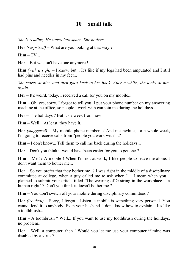#### **10** – **Small talk**

*She is reading. He stares into space. She notices.*

**Her** *(surprised)* – What are you looking at that way ?

**Him** – TV...

**Her** – But we don't have one anymore !

**Him** *(with a sigh)* – I know, but... It's like if my legs had been amputated and I still had pins and needles in my feet...

*She stares at him, and then goes back to her book. After a while, she looks at him again.*

**Her** – It's weird, today, I received a call for you on my mobile...

**Him** – Oh, yes, sorry, I forgot to tell you. I put your phone number on my answering machine at the office, so people I work with can join me during the holidays...

**Her** – The holidays ? But it's a week from now !

**Him** – Well... At least, they have it.

**Her** *(staggered)* – My mobile phone number !? And meanwhile, for a whole week, I'm going to receive calls from "people you work with"...?

**Him** – I don't know... Tell them to call me back during the holidays...

**Her** – Don't you think it would have been easier for you to get one ?

**Him** – Me !? A mobile ! When I'm not at work, I like people to leave me alone. I don't want them to bother me...

**Her** – So you prefer that they bother me !? I was right in the middle of a disciplinary committee at college, when a guy called me to ask when  $I - I$  mean when you – planned to submit your article titled "The wearing of G-string in the workplace is a human right" ? Don't you think it doesn't bother me ?

**Him** – You don't switch off your mobile during disciplinary committees ?

**Her** *(ironical)* – Sorry, I forgot... Listen, a mobile is something very personal. You cannot lend it to anybody. Even your husband. I don't know how to explain... It's like a toothbrush...

**Him** – A toothbrush ? Well... If you want to use my toothbrush during the holidays, no problem...

**Her** – Well, a computer, then ! Would you let me use your computer if mine was disabled by a virus ?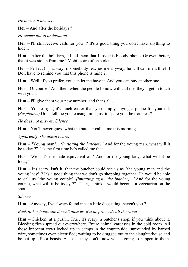*He does not answer.*

**Her** – And after the holidays ?

*He seems not to understand.*

**Her** – I'll still receive calls for you !? It's a good thing you don't have anything to hide

**Him** – After the holidays, I'll tell them that I lost this bloody phone. Or even better, that it was stolen from me ! Mobiles are often stolen...

**Her** – Perfect ! That way, if somebody reaches me anyway, he will call me a thief ! Do I have to remind you that this phone is mine ?!

**Him** – Well, if you prefer, you can let me have it. And you can buy another one...

**Her** – Of course ! And then, when the people I know will call me, they'll get in touch with you...

**Him** – I'll give them your new number, and that's all...

**Her** – You're right, it's much easier than you simply buying a phone for yourself. *(Suspicious)* Don't tell me you're using mine just to spare you the trouble...?

*He does not answer. Silence.*

**Him** – You'll never guess what the butcher called me this morning...

*Apparently, she doesn't care.*

**Him** – "Young man"... *(Imitating the butcher)* "And for the young man, what will it be today ?". It's the first time he's called me that...

**Her** – Well, it's the male equivalent of " And for the young lady, what will it be today".

**Him** – It's scary, isn't it, that the butcher could see us as "the young man and the young lady" ? It's a good thing that we don't go shopping together. He would be able to call us "the young couple". *(Imitating again the butcher)* "And for the young couple, what will it be today ?". Then, I think I would become a vegetarian on the spot.

*Silence.*

**Him** – Anyway, I've always found meat a little disgusting, haven't you ?

*Back to her book, she doesn't answer. But he proceeds all the same.*

**Him** – Chicken, at a push... True, it's scary, a butcher's shop, if you think about it. Bleeding flesh spread out everywhere. Entire animal carcasses in the cold room. All those innocent cows locked up in camps in the countryside, surrounded by barbed wire, sometimes even electrified; waiting to be dragged out to the slaughterhouse and be cut up... Poor beasts. At least, they don't know what's going to happen to them.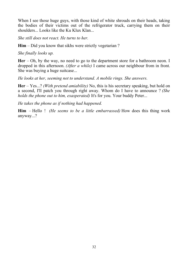When I see those huge guys, with those kind of white shrouds on their heads, taking the bodies of their victims out of the refrigerator truck, carrying them on their shoulders... Looks like the Ku Klux Klan...

*She still does not react. He turns to her.*

**Him** – Did you know that sikhs were strictly vegetarian ?

*She finally looks up.*

**Her** – Oh, by the way, no need to go to the department store for a bathroom neon. I dropped in this afternoon. *(After a while)* I came across our neighbour from in front. She was buying a huge suitcase...

*He looks at her, seeming not to understand. A mobile rings. She answers.*

**Her** – Yes...? *(With pretend amiability)* No, this is his secretary speaking, but hold on a second, I'll patch you through right away. Whom do I have to announce ? *(She holds the phone out to him, exasperated)* It's for you. Your buddy Peter...

*He takes the phone as if nothing had happened.*

**Him** – Hello ! *(He seems to be a little embarrassed)* How does this thing work anyway...?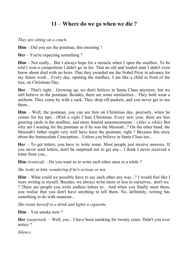#### **11** – **Where do we go when we die ?**

*They are sitting on a couch.* 

**Him** – Did you see the postman, this morning ?

**Her** – You're expecting something ?

**Him** – Not really... But I always hope for a miracle when I open the mailbox. To be told I won a competition I didn't go in for. That an old and loaded aunt I didn't even know about died with no heirs. That they awarded me the Nobel Prize in advance for my future work... Every day, opening the mailbox, I am like a child in front of the tree, on Christmas Day.

**Her** – That's right... Growing up, we don't believe in Santa Claus anymore, but we still believe in the postman. Besides, there are some similarities... They both wear a uniform. They come by with a sack. They drop off packets, and you never get to see them...

**Him** – Well, the postman, you can see him on Christmas day, precisely, when he comes for his tips... *(With a sigh)* I hate Christmas. Every new year, there are less greeting cards in the mailbox, and more funeral announcements... *(After a while)* But why am I waiting for the postman as if he was the Messiah...? On the other hand, the Messiah's father might very well have been the postman, right ? Because this story about the Immaculate Conception... Unless you believe in Santa Claus too...

**Her** – To get letters, you have to write some. Most people just receive answers. If you never send letters, don't be surprised not to get any... I think I never received a letter from you...

**Him** *(ironical)* – Do you want us to write each other once in a while ?

*She looks at him, wondering if he's serious or not.*

**Him** – What could we possibly have to say each other any way...? I would feel like I were writing to myself. Besides, we always write more or less to ourselves, don't we ? There are people you write endless letters to... And when you finally meet them, you realise that you don't have anything to tell them. No, definitely, writing has something to do with onanism...

*She treats herself to a drink and lights a cigarette.*

**Him** – You smoke now ?

**Her** *(surprised)* – Well, yes... I have been smoking for twenty years. Didn't you ever notice ?

*Silence.*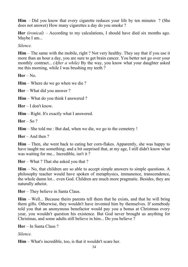**Him** – Did you know that every cigarette reduces your life by ten minutes ? (She does not answer) How many cigarettes a day do you smoke ?

**Her** *(ironical)* – According to my calculations, I should have died six months ago. Maybe I am...

*Silence.*

**Him** – The same with the mobile, right ? Not very healthy. They say that if you use it more than an hour a day, you are sure to get brain cancer. You better not go over your monthly contract... *(After a while)* By the way, you know what your daughter asked me this morning, while I was brushing my teeth ?

**Her** – No.

**Him** – Where do we go when we die ?

**Her** – What did you answer ?

**Him** – What do you think I answered ?

**Her** – I don't know.

**Him** – Right. It's exactly what I answered.

**Her** – So ?

**Him** – She told me : But dad, when we die, we go to the cemetery !

**Her** – And then ?

**Him** – Then, she went back to eating her corn-flakes. Apparently, she was happy to have taught me something; and a bit surprised that, at my age, I still didn't know what was waiting for me... Incredible, isn't it ?

**Her** – What ? That she asked you that ?

**Him** – No, that children are so able to accept simple answers to simple questions. A philosophy teacher would have spoken of metaphysics, immanence, transcendence, the whole damn lot... even God. Children are much more pragmatic. Besides, they are naturally atheist.

**Her** – They believe in Santa Claus.

**Him** – Well... Because theirs parents tell them that he exists, and that he will bring them gifts. Otherwise, they wouldn't have invented him by themselves. If somebody told you that an anonymous benefactor would pay you a bonus at Christmas every year, you wouldn't question his existence. But God never brought us anything for Christmas, and some adults still believe in him... Do you believe ?

**Her** – In Santa Claus ?

*Silence.*

**Him** – What's incredible, too, is that it wouldn't scare her.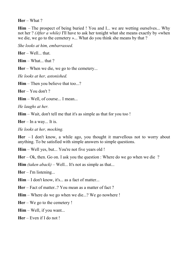**Her** – What ?

**Him** – The prospect of being buried ! You and I... we are wetting ourselves... Why not her ? *(After a while)* I'll have to ask her tonight what she means exactly by «when we die, we go to the cemetery »... What do you think she means by that ?

*She looks at him, embarrassed.*

**Her** – Well... that.

**Him** – What... that ?

**Her** – When we die, we go to the cemetery...

*He looks at her, astonished.*

**Him** – Then you believe that too...?

**Her** – You don't ?

**Him** – Well, of course... I mean...

*He laughs at her.*

**Him** – Wait, don't tell me that it's as simple as that for you too !

**Her** – In a way... It is.

*He looks at her, mocking.* 

**Her** – I don't know, a while ago, you thought it marvellous not to worry about anything. To be satisfied with simple answers to simple questions.

**Him** – Well yes, but... You're not five years old !

**Her** – Ok, then. Go on. I ask you the question : Where do we go when we die ?

**Him** *(taken aback)* – Well... It's not as simple as that...

**Her** – I'm listening...

**Him** – I don't know, it's... as a fact of matter...

**Her** – Fact of matter..? You mean as a matter of fact ?

**Him** – Where do we go when we die...? We go nowhere !

**Her** – We go to the cemetery !

**Him** – Well, if you want...

**Her** – Even if I do not !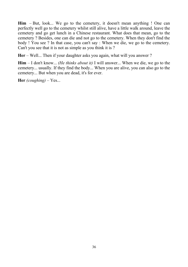**Him** – But, look... We go to the cemetery, it doesn't mean anything ! One can perfectly well go to the cemetery whilst still alive, have a little walk around, leave the cemetery and go get lunch in a Chinese restaurant. What does that mean, go to the cemetery ? Besides, one can die and not go to the cemetery. When they don't find the body ! You see ? In that case, you can't say : When we die, we go to the cemetery. Can't you see that it is not as simple as you think it is ?

**Her** – Well... Then if your daughter asks you again, what will you answer ?

**Him** – I don't know... *(He thinks about it)* I will answer... When we die, we go to the cemetery... usually. If they find the body... When you are alive, you can also go to the cemetery... But when you are dead, it's for ever.

**Her** *(coughing)* – Yes...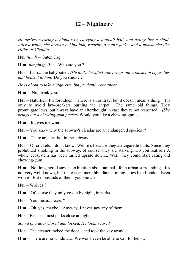#### **12 – Nightmare**

*He arrives wearing a blond wig, carrying a football ball, and acting like a child. After a while, she arrives behind him, wearing a man's jacket and a moustache like Hitler or Chaplin.*

**Her** *(loud)* – Guten Tag...

**Him** *(jumping)*- But... Who are you ?

**Her** – I am... the baby-sitter. *(He looks terrified, she brings out a packet of cigarettes and holds it to him)* Do you smoke ?

*He is about to take a cigarette, but prudently renounces.*

**Him** – No, thank you.

**Her** – Natürlich. It's forbidden... There is an ashtray, but it doesn't mean a thing ! It's only to avoid law-breakers burning the carpet... The same old things. They promulgate laws, but always have an afterthought in case they're not respected... *(She brings out a chewing-gum packet)* Would you like a chewing-gum ?

**Him** – It gives me wind...

**Her** – You know why the subway's cicadas are an endangered species ?

**Him** – There are cicadas, in the subway ?

**Her** – Or crickets, I don't know. Well it's because they ate cigarette butts. Since they prohibited smoking in the subway, of course, they are starving. Do you realise ? A whole ecosystem has been turned upside down... Well, they could start eating old chewing-gum...

**Him** – Not long ago, I saw an exhibition about animal life in urban surroundings. It's not very well known, but there is an incredible fauna, in big cities like London. Even wolves. But thousands of them, you know ?

**Her** – Wolves ?

**Him** – Of course they only go out by night, in parks...

**Her** – You mean foxes ?

**Him** – Oh, yes, maybe... Anyway, I never saw any of them...

**Her** – Because most parks close at night...

*Sound of a door closed and locked. He looks scared.* 

**Her** – The cleaner locked the door... and took the key away.

**Him** – There are no windows... We won't even be able to call for help...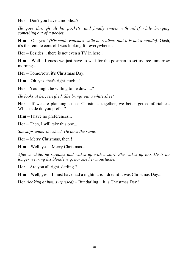**Her** – Don't you have a mobile...?

*He goes through all his pockets, and finally smiles with relief while bringing something out of a pocket.* 

**Him** – Oh, yes ! *(His smile vanishes while he realises that it is not a mobile).* Gosh, it's the remote control I was looking for everywhere...

**Her** – Besides... there is not even a TV in here !

**Him** – Well... I guess we just have to wait for the postman to set us free tomorrow morning...

**Her** – Tomorrow, it's Christmas Day.

**Him** – Oh, yes, that's right, fuck...!

**Her** – You might be willing to lie down...?

*He looks at her, terrified. She brings out a white sheet.*

Her – If we are planning to see Christmas together, we better get comfortable... Which side do you prefer ?

**Him** – I have no preferences...

**Her** – Then, I will take this one...

*She slips under the sheet. He does the same.*

**Her** – Merry Christmas, then !

**Him** – Well, yes... Merry Christmas...

*After a while, he screams and wakes up with a start. She wakes up too. He is no longer wearing his blonde wig, nor she her moustache.*

**Her** – Are you all right, darling ?

**Him** – Well, yes... I must have had a nightmare. I dreamt it was Christmas Day...

**Her** *(looking at him, surprised)* – But darling... It is Christmas Day !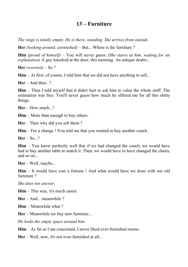#### **13 – Furniture**

*The stage is totally empty. He is there, standing. She arrives from outside.*

**Her** *(looking around, astonished)* – But... Where is the furniture ?

**Him** *(proud of himself)* – You will never guess. *(She stares at him, waiting for an explanation*) A guy knocked at the door, this morning. An antique dealer...

**Her** *(worried)* – So ?

**Him** – At first, of course, I told him that we did not have anything to sell...

 $\text{Her} - \text{And then}$  ?

**Him** – Then I told myself that it didn't hurt to ask him to value the whole stuff. The estimation was free. You'll never guess how much he offered me for all this shitty things.

**Her** – How much...?

**Him** – More than enough to buy others.

**Her** – Then why did you sell them ?

**Him** – For a change ! You told me that you wanted to buy another couch.

**Her** – So...?

**Him** – You know perfectly well that if we had changed the couch, we would have had to buy another table to match it. Then, we would have to have changed the chairs, and so on...

**Her** – Well, maybe...

**Him** – It would have cost a fortune ! And what would have we done with our old furniture ?

*She does not answer.* 

**Him** – This way, it's much easier.

**Her** – And... meanwhile ?

**Him** – Meanwhile what ?

**Her** – Meanwhile we buy new furniture...

*He looks the empty space around him.*

**Him** – As far as I am concerned, I never liked over-furnished rooms.

**Her** – Well, now, it's not over-furnished at all...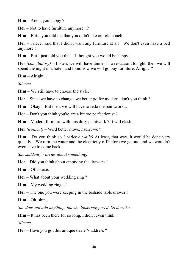**Him** – Aren't you happy ?

**Her** – Not to have furniture anymore...?

**Him** – But... you told me that you didn't like our old couch !

**Her** – I never said that I didn't want any furniture at all ! We don't even have a bed anymore !

**Him** – But I just told you that... I thought you would be happy !

**Her** *(conciliatory)* – Listen, we will have dinner in a restaurant tonight, then we will spend the night in a hotel, and tomorrow we will go buy furniture. Alright ?

**Him** – Alright...

*Silence.* 

**Him** – We still have to choose the style.

**Her** – Since we have to change, we better go for modern, don't you think ?

**Him** – Okay... But then, we will have to redo the paintwork...

**Her** – Don't you think you're are a bit too perfectionist ?

**Him** – Modern furniture with this dirty paintwork ? It will clash...

**Her** *(ironical)* – We'd better move, hadn't we ?

**Him** – Do you think so ? *(After a while)* At least, that way, it would be done very quickly... We turn the water and the electricity off before we go out, and we wouldn't even have to come back.

*She suddenly worries about something.*

**Her** – Did you think about emptying the drawers ?

**Him** – Of course.

**Her** – What about your wedding ring ?

**Him** – My wedding ring...?

**Her** – The one you were keeping in the bedside table drawer !

**Him** – Oh, shit...

*She does not add anything, but she looks staggered. So does he.*

**Him** – It has been there for so long. I didn't even think...

*Silence.*

**Her** – Have you got this antique dealer's address ?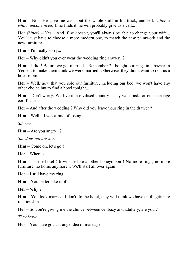**Him** – No... He gave me cash, put the whole stuff in his truck, and left. *(After a while, unconvinced)* If he finds it, he will probably give us a call...

**Her** *(bitter)* – Yes... And if he doesn't, you'll always be able to change your wife... You'll just have to choose a more modern one, to match the new paintwork and the new furniture.

**Him** – I'm really sorry...

**Her** – Why didn't you ever wear the wedding ring anyway ?

**Him** – I did ! Before we got married... Remember ? I bought our rings in a bazaar in Yemen; to make them think we were married. Otherwise, they didn't want to rent us a hotel room.

**Her** – Well, now that you sold our furniture, including our bed, we won't have any other choice but to find a hotel tonight...

**Him** – Don't worry. We live in a civilised country. They won't ask for our marriage certificate...

**Her** – And after the wedding ? Why did you leave your ring in the drawer ?

**Him** – Well... I was afraid of losing it.

*Silence.*

**Him** – Are you angry...?

*She does not answer.*

**Him** – Come on, let's go !

**Her** – Where ?

**Him** – To the hotel ! It will be like another honeymoon ! No more rings, no more furniture, no home anymore... We'll start all over again !

**Her** – I still have my ring...

**Him** – You better take it off.

**Her** – Why ?

**Him** – You look married, I don't. In the hotel, they will think we have an illegitimate relationship...

**Her** – So you're giving me the choice between celibacy and adultery, are you ?

*They leave.*

**Her** – You have got a strange idea of marriage.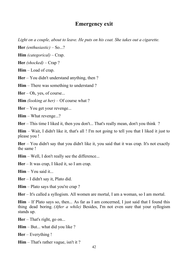#### **Emergency exit**

*Light on a couple, about to leave. He puts on his coat. She takes out a cigarette.*

**Her** *(enthusiastic)* – So...?

**Him** *(categorical)* – Crap.

**Her** *(shocked)* – Crap ?

**Him** – Load of crap.

**Her** – You didn't understand anything, then ?

**Him** – There was something to understand?

**Her** – Oh, yes, of course...

**Him** *(looking at her)* – Of course what ?

**Her** – You get your revenge...

**Him** – What revenge...?

**Her** – This time I liked it, then you don't... That's really mean, don't you think ?

**Him** – Wait, I didn't like it, that's all ! I'm not going to tell you that I liked it just to please you !

**Her** – You didn't say that you didn't like it, you said that it was crap. It's not exactly the same !

**Him** – Well, I don't really see the difference...

**Her** – It was crap, I liked it, so I am crap.

**Him** – You said it...

**Her** – I didn't say it, Plato did.

**Him** – Plato says that you're crap ?

**Her** – It's called a syllogism. All women are mortal, I am a woman, so I am mortal.

**Him** – If Plato says so, then... As far as I am concerned, I just said that I found this thing dead boring. *(After a while)* Besides, I'm not even sure that your syllogism stands up.

**Her** – That's right, go on...

**Him** – But... what did you like ?

**Her** – Everything !

**Him** – That's rather vague, isn't it ?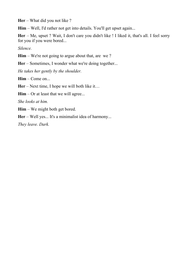**Her** – What did you not like ?

**Him** – Well, I'd rather not get into details. You'll get upset again...

**Her** – Me, upset ? Wait, I don't care you didn't like ! I liked it, that's all. I feel sorry for you if you were bored...

*Silence.*

**Him** – We're not going to argue about that, are we?

Her – Sometimes, I wonder what we're doing together...

*He takes her gently by the shoulder.*

**Him** – Come on...

**Her** – Next time, I hope we will both like it…

**Him** – Or at least that we will agree...

*She looks at him.*

**Him** – We might both get bored.

**Her** – Well yes... It's a minimalist idea of harmony...

*They leave. Dark.*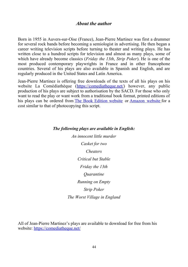#### *About the author*

Born in 1955 in Auvers-sur-Oise (France), Jean-Pierre Martinez was first a drummer for several rock bands before becoming a semiologist in advertising. He then began a career writing television scripts before turning to theater and writing plays. He has written close to a hundred scripts for television and almost as many plays, some of which have already become classics (*Friday the 13th*, *Strip Poker*). He is one of the most produced contemporary playwrights in France and in other francophone countries. Several of his plays are also available in Spanish and English, and are regularly produced in the United States and Latin America.

Jean-Pierre Martinez is offering free downloads of the texts of all his plays on his website La Comédiathèque [\(https://comediatheque.net/\)](https://comediatheque.net/) however, any public production of his plays are subject to authorisation by the SACD. For those who only want to read the play or want work from a traditional book format, printed editions of his plays can be ordered from [The Book Edition website](https://www.thebookedition.com/fr/29883_jean-pierre-martinez) or [Amazon website](https://www.amazon.fr/kindle-dbs/entity/author/B077L6T571) for a cost similar to that of photocopying this script.

#### *The following plays are available in English:*

*An innocent little murder Casket for two Cheaters Critical but Stable Friday the 13th Quarantine Running on Empty Strip Poker The Worst Village in England*

All of Jean-Pierre Martinez's plays are available to download for free from his website:<https://comediatheque.net/>